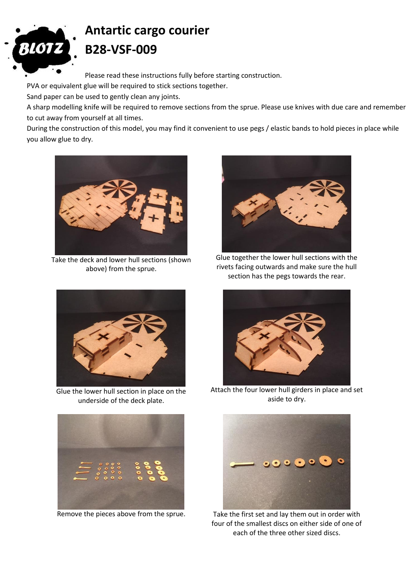

## **Antartic cargo courier B28-VSF-009**

Please read these instructions fully before starting construction.

PVA or equivalent glue will be required to stick sections together.

Sand paper can be used to gently clean any joints.

A sharp modelling knife will be required to remove sections from the sprue. Please use knives with due care and remember to cut away from yourself at all times.

During the construction of this model, you may find it convenient to use pegs / elastic bands to hold pieces in place while you allow glue to dry.



Take the deck and lower hull sections (shown above) from the sprue.



Glue the lower hull section in place on the underside of the deck plate.





Glue together the lower hull sections with the rivets facing outwards and make sure the hull section has the pegs towards the rear.



Attach the four lower hull girders in place and set aside to dry.



Remove the pieces above from the sprue. Take the first set and lay them out in order with four of the smallest discs on either side of one of each of the three other sized discs.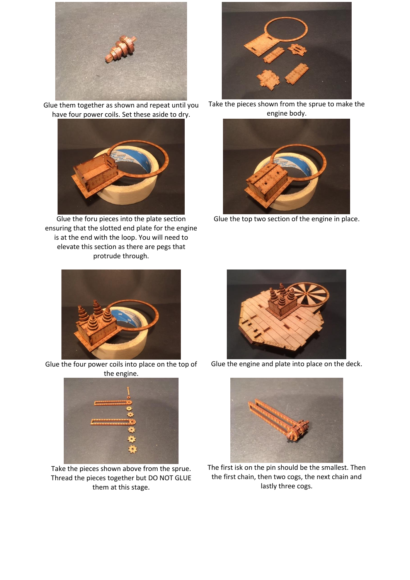

Glue them together as shown and repeat until you have four power coils. Set these aside to dry.



Glue the foru pieces into the plate section ensuring that the slotted end plate for the engine is at the end with the loop. You will need to elevate this section as there are pegs that protrude through.



Glue the four power coils into place on the top of the engine.



Take the pieces shown above from the sprue. Thread the pieces together but DO NOT GLUE them at this stage.



Take the pieces shown from the sprue to make the engine body.



Glue the top two section of the engine in place.



Glue the engine and plate into place on the deck.



The first isk on the pin should be the smallest. Then the first chain, then two cogs, the next chain and lastly three cogs.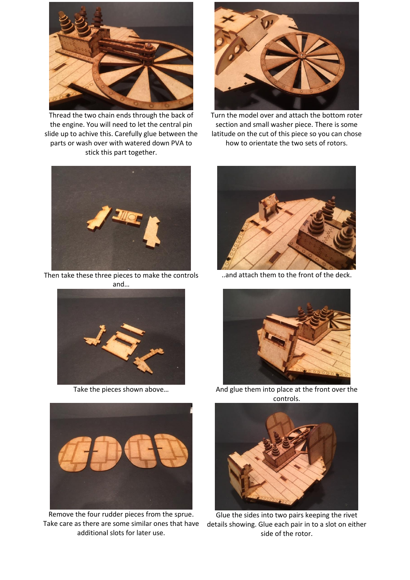

Thread the two chain ends through the back of the engine. You will need to let the central pin slide up to achive this. Carefully glue between the parts or wash over with watered down PVA to stick this part together.





Then take these three pieces to make the controls and…





Remove the four rudder pieces from the sprue. Take care as there are some similar ones that have additional slots for later use.

..and attach them to the front of the deck.



Take the pieces shown above... And glue them into place at the front over the controls.



Glue the sides into two pairs keeping the rivet details showing. Glue each pair in to a slot on either side of the rotor.



section and small washer piece. There is some latitude on the cut of this piece so you can chose how to orientate the two sets of rotors.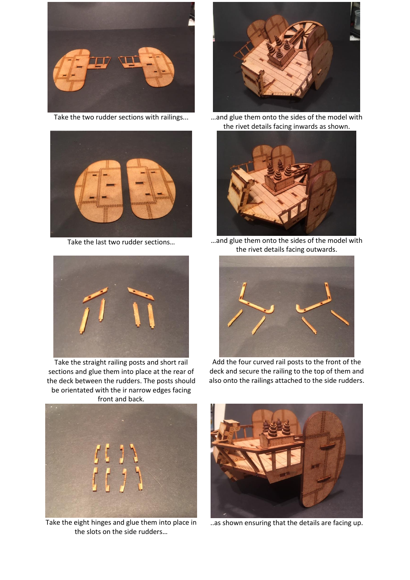





Take the straight railing posts and short rail sections and glue them into place at the rear of the deck between the rudders. The posts should be orientated with the ir narrow edges facing front and back.



Take the two rudder sections with railings... … …and glue them onto the sides of the model with the rivet details facing inwards as shown.



Take the last two rudder sections... **EXEC 10 MILL MOVE MENU** mand glue them onto the sides of the model with the rivet details facing outwards.



Add the four curved rail posts to the front of the deck and secure the railing to the top of them and also onto the railings attached to the side rudders.



Take the eight hinges and glue them into place in the slots on the side rudders…



..as shown ensuring that the details are facing up.